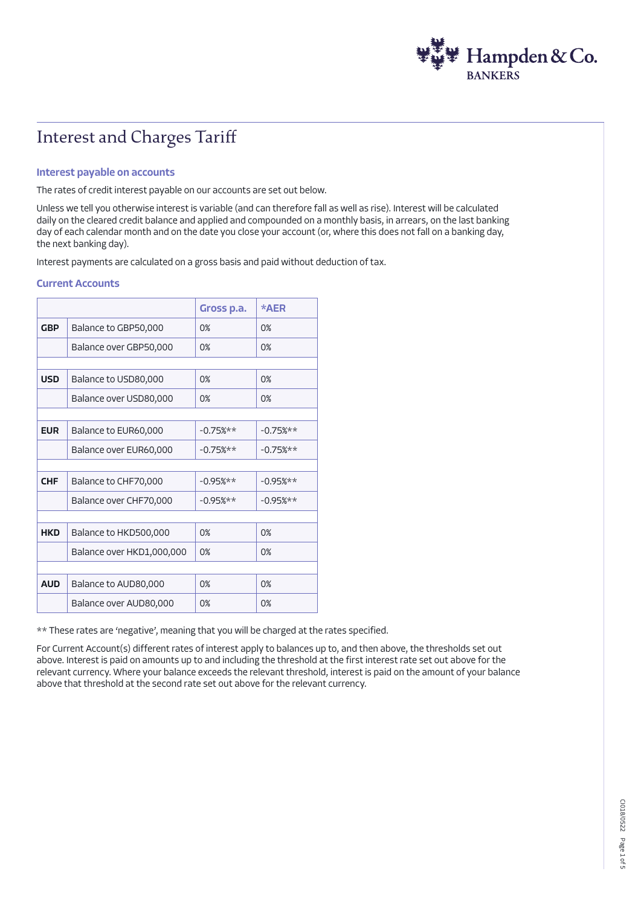

# Interest and Charges Tariff

#### Interest payable on accounts

The rates of credit interest payable on our accounts are set out below.

Unless we tell you otherwise interest is variable (and can therefore fall as well as rise). Interest will be calculated daily on the cleared credit balance and applied and compounded on a monthly basis, in arrears, on the last banking day of each calendar month and on the date you close your account (or, where this does not fall on a banking day, the next banking day).

Interest payments are calculated on a gross basis and paid without deduction of tax.

#### Current Accounts

|            |                           | Gross p.a.  | *AER        |
|------------|---------------------------|-------------|-------------|
| <b>GBP</b> | Balance to GBP50,000      | 0%          | 0%          |
|            | Balance over GBP50,000    | 0%          | 0%          |
|            |                           |             |             |
| <b>USD</b> | Balance to USD80,000      | 0%          | 0%          |
|            | Balance over USD80,000    | 0%          | 0%          |
|            |                           |             |             |
| <b>EUR</b> | Balance to EUR60,000      | $-0.75%$ ** | $-0.75%$ ** |
|            | Balance over EUR60,000    | $-0.75%$ ** | $-0.75%$ ** |
|            |                           |             |             |
| <b>CHF</b> | Balance to CHF70,000      | $-0.95%$ ** | $-0.95%$ ** |
|            | Balance over CHF70,000    | $-0.95%$ ** | $-0.95%$ ** |
|            |                           |             |             |
| <b>HKD</b> | Balance to HKD500,000     | 0%          | 0%          |
|            | Balance over HKD1,000,000 | 0%          | 0%          |
|            |                           |             |             |
| <b>AUD</b> | Balance to AUD80,000      | 0%          | 0%          |
|            | Balance over AUD80,000    | 0%          | 0%          |

\*\* These rates are 'negative', meaning that you will be charged at the rates specified.

For Current Account(s) different rates of interest apply to balances up to, and then above, the thresholds set out above. Interest is paid on amounts up to and including the threshold at the first interest rate set out above for the relevant currency. Where your balance exceeds the relevant threshold, interest is paid on the amount of your balance above that threshold at the second rate set out above for the relevant currency.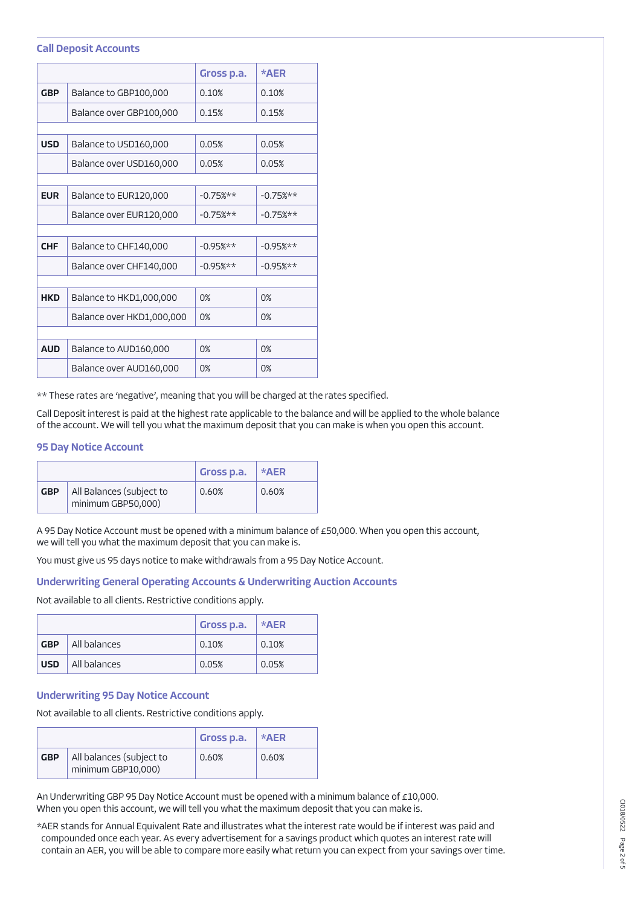#### Call Deposit Accounts

|            |                           | Gross p.a.  | *AER        |
|------------|---------------------------|-------------|-------------|
| <b>GBP</b> | Balance to GBP100,000     | 0.10%       | 0.10%       |
|            | Balance over GBP100,000   | 0.15%       | 0.15%       |
|            |                           |             |             |
| <b>USD</b> | Balance to USD160,000     | 0.05%       | 0.05%       |
|            | Balance over USD160,000   | 0.05%       | 0.05%       |
|            |                           |             |             |
| <b>EUR</b> | Balance to EUR120,000     | $-0.75%$ ** | $-0.75%$ ** |
|            | Balance over EUR120,000   | $-0.75%$ ** | $-0.75%$ ** |
|            |                           |             |             |
| <b>CHF</b> | Balance to CHF140,000     | $-0.95%$ ** | $-0.95%$ ** |
|            | Balance over CHF140,000   | $-0.95%$ ** | $-0.95%$ ** |
|            |                           |             |             |
| <b>HKD</b> | Balance to HKD1,000,000   | 0%          | 0%          |
|            | Balance over HKD1,000,000 | 0%          | 0%          |
|            |                           |             |             |
| <b>AUD</b> | Balance to AUD160,000     | 0%          | 0%          |
|            | Balance over AUD160,000   | 0%          | 0%          |

\*\* These rates are 'negative', meaning that you will be charged at the rates specified.

Call Deposit interest is paid at the highest rate applicable to the balance and will be applied to the whole balance of the account. We will tell you what the maximum deposit that you can make is when you open this account.

## 95 Day Notice Account

|            |                                                | Gross p.a. | *AER  |
|------------|------------------------------------------------|------------|-------|
| <b>GBP</b> | All Balances (subject to<br>minimum GBP50,000) | 0.60%      | 0.60% |

A 95 Day Notice Account must be opened with a minimum balance of £50,000. When you open this account, we will tell you what the maximum deposit that you can make is.

You must give us 95 days notice to make withdrawals from a 95 Day Notice Account.

## Underwriting General Operating Accounts & Underwriting Auction Accounts

Not available to all clients. Restrictive conditions apply.

|            |              | Gross p.a. | ∣ *AER |
|------------|--------------|------------|--------|
| <b>GBP</b> | All balances | 0.10%      | 0.10%  |
| <b>USD</b> | All balances | 0.05%      | 0.05%  |

## Underwriting 95 Day Notice Account

Not available to all clients. Restrictive conditions apply.

|            |                                                | Gross p.a. | $*AER$ |
|------------|------------------------------------------------|------------|--------|
| <b>GBP</b> | All balances (subject to<br>minimum GBP10,000) | 0.60%      | 0.60%  |

An Underwriting GBP 95 Day Notice Account must be opened with a minimum balance of £10,000. When you open this account, we will tell you what the maximum deposit that you can make is.

\*AER stands for Annual Equivalent Rate and illustrates what the interest rate would be if interest was paid and compounded once each year. As every advertisement for a savings product which quotes an interest rate will contain an AER, you will be able to compare more easily what return you can expect from your savings over time.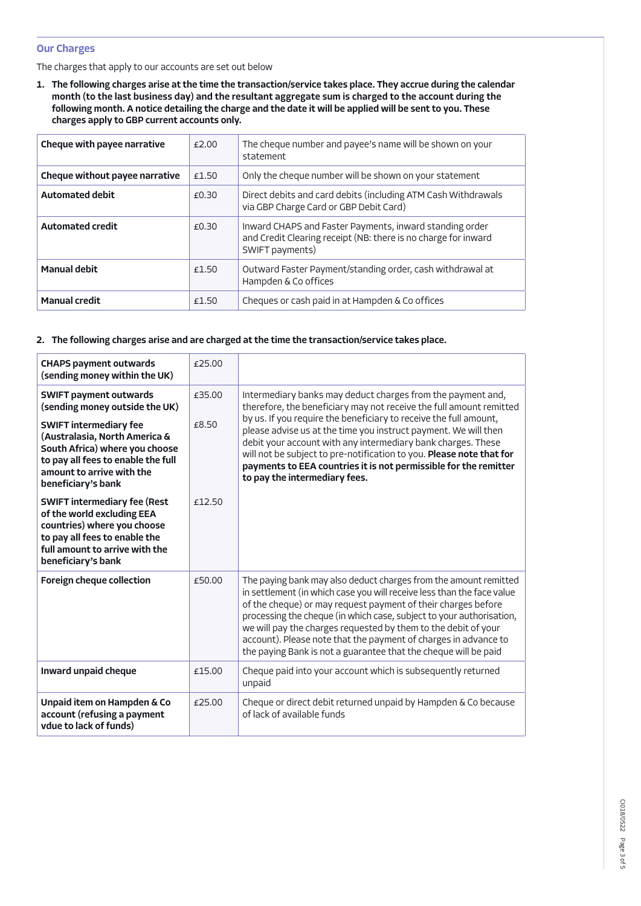## Our Charges

The charges that apply to our accounts are set out below

1. The following charges arise at the time the transaction/service takes place. They accrue during the calendar month (to the last business day) and the resultant aggregate sum is charged to the account during the following month. A notice detailing the charge and the date it will be applied will be sent to you. These charges apply to GBP current accounts only.

| Cheque with payee narrative    | £2.00 | The cheque number and payee's name will be shown on your<br>statement                                                                        |
|--------------------------------|-------|----------------------------------------------------------------------------------------------------------------------------------------------|
| Cheque without payee narrative | £1.50 | Only the cheque number will be shown on your statement                                                                                       |
| <b>Automated debit</b>         | £0.30 | Direct debits and card debits (including ATM Cash Withdrawals<br>via GBP Charge Card or GBP Debit Card)                                      |
| <b>Automated credit</b>        | £0.30 | Inward CHAPS and Faster Payments, inward standing order<br>and Credit Clearing receipt (NB: there is no charge for inward<br>SWIFT payments) |
| <b>Manual debit</b>            | £1.50 | Outward Faster Payment/standing order, cash withdrawal at<br>Hampden & Co offices                                                            |
| <b>Manual credit</b>           | £1.50 | Cheques or cash paid in at Hampden & Co offices                                                                                              |

## 2. The following charges arise and are charged at the time the transaction/service takes place.

| <b>CHAPS payment outwards</b><br>(sending money within the UK)                                                                                                                                                                         | £25.00          |                                                                                                                                                                                                                                                                                                                                                                                                                                                                                             |
|----------------------------------------------------------------------------------------------------------------------------------------------------------------------------------------------------------------------------------------|-----------------|---------------------------------------------------------------------------------------------------------------------------------------------------------------------------------------------------------------------------------------------------------------------------------------------------------------------------------------------------------------------------------------------------------------------------------------------------------------------------------------------|
| <b>SWIFT payment outwards</b><br>(sending money outside the UK)<br><b>SWIFT intermediary fee</b><br>(Australasia, North America &<br>South Africa) where you choose<br>to pay all fees to enable the full<br>amount to arrive with the | £35.00<br>£8.50 | Intermediary banks may deduct charges from the payment and,<br>therefore, the beneficiary may not receive the full amount remitted<br>by us. If you require the beneficiary to receive the full amount,<br>please advise us at the time you instruct payment. We will then<br>debit your account with any intermediary bank charges. These<br>will not be subject to pre-notification to you. Please note that for<br>payments to EEA countries it is not permissible for the remitter      |
| beneficiary's bank<br><b>SWIFT intermediary fee (Rest</b>                                                                                                                                                                              | £12.50          | to pay the intermediary fees.                                                                                                                                                                                                                                                                                                                                                                                                                                                               |
| of the world excluding EEA<br>countries) where you choose<br>to pay all fees to enable the<br>full amount to arrive with the<br>beneficiary's bank                                                                                     |                 |                                                                                                                                                                                                                                                                                                                                                                                                                                                                                             |
| <b>Foreign cheque collection</b>                                                                                                                                                                                                       | £50.00          | The paying bank may also deduct charges from the amount remitted<br>in settlement (in which case you will receive less than the face value<br>of the cheque) or may request payment of their charges before<br>processing the cheque (in which case, subject to your authorisation,<br>we will pay the charges requested by them to the debit of your<br>account). Please note that the payment of charges in advance to<br>the paying Bank is not a guarantee that the cheque will be paid |
| Inward unpaid cheque                                                                                                                                                                                                                   | £15.00          | Cheque paid into your account which is subsequently returned<br>unpaid                                                                                                                                                                                                                                                                                                                                                                                                                      |
| Unpaid item on Hampden & Co<br>account (refusing a payment<br>vdue to lack of funds)                                                                                                                                                   | £25.00          | Cheque or direct debit returned unpaid by Hampden & Co because<br>of lack of available funds                                                                                                                                                                                                                                                                                                                                                                                                |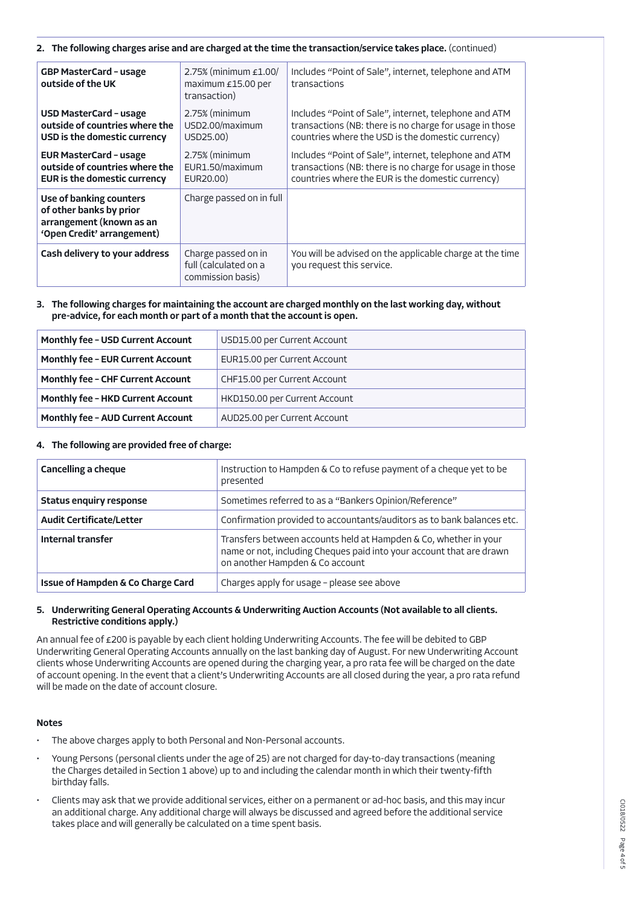#### 2. The following charges arise and are charged at the time the transaction/service takes place. (continued)

| <b>GBP MasterCard - usage</b><br>outside of the UK                                                           | 2.75% (minimum $£1.00/$<br>maximum £15.00 per<br>transaction)     | Includes "Point of Sale", internet, telephone and ATM<br>transactions                                                                                                 |
|--------------------------------------------------------------------------------------------------------------|-------------------------------------------------------------------|-----------------------------------------------------------------------------------------------------------------------------------------------------------------------|
| <b>USD MasterCard - usage</b><br>outside of countries where the<br>USD is the domestic currency              | 2.75% (minimum<br>USD2.00/maximum<br>USD25.00)                    | Includes "Point of Sale", internet, telephone and ATM<br>transactions (NB: there is no charge for usage in those<br>countries where the USD is the domestic currency) |
| <b>EUR MasterCard - usage</b><br>outside of countries where the<br><b>EUR is the domestic currency</b>       | 2.75% (minimum<br>EUR1.50/maximum<br>EUR20.00)                    | Includes "Point of Sale", internet, telephone and ATM<br>transactions (NB: there is no charge for usage in those<br>countries where the EUR is the domestic currency) |
| Use of banking counters<br>of other banks by prior<br>arrangement (known as an<br>'Open Credit' arrangement) | Charge passed on in full                                          |                                                                                                                                                                       |
| Cash delivery to your address                                                                                | Charge passed on in<br>full (calculated on a<br>commission basis) | You will be advised on the applicable charge at the time<br>you request this service.                                                                                 |

#### 3. The following charges for maintaining the account are charged monthly on the last working day, without pre-advice, for each month or part of a month that the account is open.

| <b>Monthly fee - USD Current Account</b> | USD15.00 per Current Account  |
|------------------------------------------|-------------------------------|
| <b>Monthly fee - EUR Current Account</b> | EUR15.00 per Current Account  |
| <b>Monthly fee - CHF Current Account</b> | CHF15.00 per Current Account  |
| <b>Monthly fee - HKD Current Account</b> | HKD150.00 per Current Account |
| <b>Monthly fee - AUD Current Account</b> | AUD25.00 per Current Account  |

## 4. The following are provided free of charge:

| <b>Cancelling a cheque</b>        | Instruction to Hampden & Co to refuse payment of a cheque yet to be<br>presented                                                                                            |
|-----------------------------------|-----------------------------------------------------------------------------------------------------------------------------------------------------------------------------|
| <b>Status enquiry response</b>    | Sometimes referred to as a "Bankers Opinion/Reference"                                                                                                                      |
| <b>Audit Certificate/Letter</b>   | Confirmation provided to accountants/auditors as to bank balances etc.                                                                                                      |
| Internal transfer                 | Transfers between accounts held at Hampden & Co, whether in your<br>name or not, including Cheques paid into your account that are drawn<br>on another Hampden & Co account |
| Issue of Hampden & Co Charge Card | Charges apply for usage - please see above                                                                                                                                  |

## 5. Underwriting General Operating Accounts & Underwriting Auction Accounts (Not available to all clients. Restrictive conditions apply.)

An annual fee of £200 is payable by each client holding Underwriting Accounts. The fee will be debited to GBP Underwriting General Operating Accounts annually on the last banking day of August. For new Underwriting Account clients whose Underwriting Accounts are opened during the charging year, a pro rata fee will be charged on the date of account opening. In the event that a client's Underwriting Accounts are all closed during the year, a pro rata refund will be made on the date of account closure.

#### Notes

- The above charges apply to both Personal and Non-Personal accounts.
- Young Persons (personal clients under the age of 25) are not charged for day-to-day transactions (meaning the Charges detailed in Section 1 above) up to and including the calendar month in which their twenty-fifth birthday falls.
- Clients may ask that we provide additional services, either on a permanent or ad-hoc basis, and this may incur an additional charge. Any additional charge will always be discussed and agreed before the additional service takes place and will generally be calculated on a time spent basis.